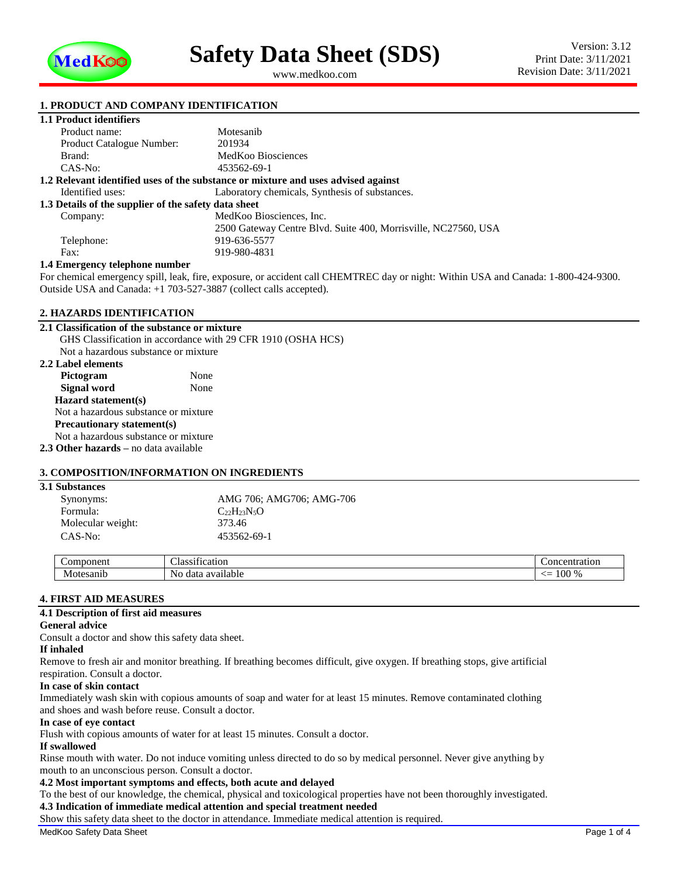

<span id="page-0-1"></span><span id="page-0-0"></span>www.medkoo.com

## **1. PRODUCT AND COMPANY IDENTIFICATION**

## **1.1 Product identifiers**

| Product name:                                                                     | Motesanib                                                      |  |  |  |
|-----------------------------------------------------------------------------------|----------------------------------------------------------------|--|--|--|
| <b>Product Catalogue Number:</b>                                                  | 201934                                                         |  |  |  |
| Brand:                                                                            | MedKoo Biosciences                                             |  |  |  |
| $CAS-No:$                                                                         | 453562-69-1                                                    |  |  |  |
| 1.2 Relevant identified uses of the substance or mixture and uses advised against |                                                                |  |  |  |
| Identified uses:                                                                  | Laboratory chemicals, Synthesis of substances.                 |  |  |  |
| 1.3 Details of the supplier of the safety data sheet                              |                                                                |  |  |  |
| Company:                                                                          | MedKoo Biosciences, Inc.                                       |  |  |  |
|                                                                                   | 2500 Gateway Centre Blvd. Suite 400, Morrisville, NC27560, USA |  |  |  |
| Telephone:                                                                        | 919-636-5577                                                   |  |  |  |
| Fax:                                                                              | 919-980-4831                                                   |  |  |  |
| 1.4 I Para concern con 4 clients con a concern la con                             |                                                                |  |  |  |

#### **1.4 Emergency telephone number**

For chemical emergency spill, leak, fire, exposure, or accident call CHEMTREC day or night: Within USA and Canada: 1-800-424-9300. Outside USA and Canada: +1 703-527-3887 (collect calls accepted).

#### **2. HAZARDS IDENTIFICATION**

### **2.1 Classification of the substance or mixture**

GHS Classification in accordance with 29 CFR 1910 (OSHA HCS) Not a hazardous substance or mixture **2.2 Label elements** Pictogram None **Signal word** None **Hazard statement(s)** Not a hazardous substance or mixture **Precautionary statement(s)** Not a hazardous substance or mixture **2.3 Other hazards –** no data available

### **3. COMPOSITION/INFORMATION ON INGREDIENTS**

| <b>3.1 Substances</b> |                          |
|-----------------------|--------------------------|
| Synonyms:             | AMG 706; AMG706; AMG-706 |
| Formula:              | $C_{22}H_{23}N_5O$       |
| Molecular weight:     | 373.46                   |
| CAS-No:               | 453562-69-1              |

| ωn<br>$\sim$ | $\sim$<br>$\sim$<br>1cat10n<br>$\sqrt{2}$<br>ла<br>$\cdot$ . | -аног                                      |
|--------------|--------------------------------------------------------------|--------------------------------------------|
| NЛ<br>41 L L | NΩ<br>dat.<br>710<br>ы<br>.                                  | <u>- —</u><br>l VV<br>$\prime\prime\prime$ |

#### **4. FIRST AID MEASURES**

#### **4.1 Description of first aid measures**

#### **General advice**

Consult a doctor and show this safety data sheet.

# **If inhaled**

Remove to fresh air and monitor breathing. If breathing becomes difficult, give oxygen. If breathing stops, give artificial respiration. Consult a doctor.

#### **In case of skin contact**

Immediately wash skin with copious amounts of soap and water for at least 15 minutes. Remove contaminated clothing and shoes and wash before reuse. Consult a doctor.

#### **In case of eye contact**

Flush with copious amounts of water for at least 15 minutes. Consult a doctor.

# **If swallowed**

Rinse mouth with water. Do not induce vomiting unless directed to do so by medical personnel. Never give anything by mouth to an unconscious person. Consult a doctor.

# **4.2 Most important symptoms and effects, both acute and delayed**

To the best of our knowledge, the chemical, physical and toxicological properties have not been thoroughly investigated. **4.3 Indication of immediate medical attention and special treatment needed**

Show this safety data sheet to the doctor in attendance. Immediate medical attention is required.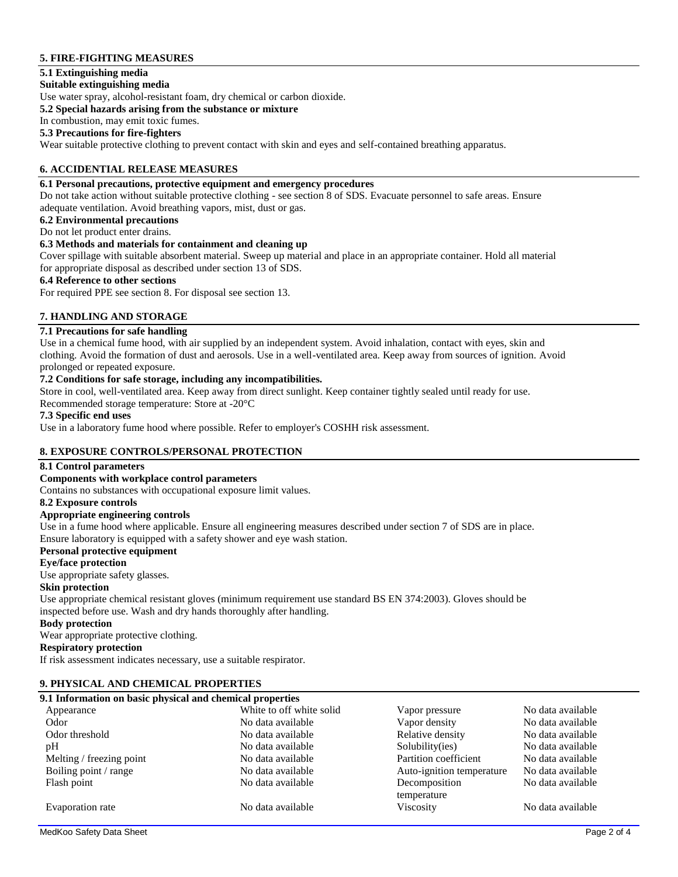# **5. FIRE-FIGHTING MEASURES**

## **5.1 Extinguishing media**

#### **Suitable extinguishing media**

Use water spray, alcohol-resistant foam, dry chemical or carbon dioxide.

#### **5.2 Special hazards arising from the substance or mixture**

In combustion, may emit toxic fumes.

## **5.3 Precautions for fire-fighters**

Wear suitable protective clothing to prevent contact with skin and eyes and self-contained breathing apparatus.

## **6. ACCIDENTIAL RELEASE MEASURES**

## **6.1 Personal precautions, protective equipment and emergency procedures**

Do not take action without suitable protective clothing - see section 8 of SDS. Evacuate personnel to safe areas. Ensure adequate ventilation. Avoid breathing vapors, mist, dust or gas.

#### **6.2 Environmental precautions**

Do not let product enter drains.

## **6.3 Methods and materials for containment and cleaning up**

Cover spillage with suitable absorbent material. Sweep up material and place in an appropriate container. Hold all material for appropriate disposal as described under section 13 of SDS.

#### **6.4 Reference to other sections**

For required PPE see section 8. For disposal see section 13.

## **7. HANDLING AND STORAGE**

## **7.1 Precautions for safe handling**

Use in a chemical fume hood, with air supplied by an independent system. Avoid inhalation, contact with eyes, skin and clothing. Avoid the formation of dust and aerosols. Use in a well-ventilated area. Keep away from sources of ignition. Avoid prolonged or repeated exposure.

#### **7.2 Conditions for safe storage, including any incompatibilities.**

Store in cool, well-ventilated area. Keep away from direct sunlight. Keep container tightly sealed until ready for use.

Recommended storage temperature: Store at -20°C

## **7.3 Specific end uses**

Use in a laboratory fume hood where possible. Refer to employer's COSHH risk assessment.

### **8. EXPOSURE CONTROLS/PERSONAL PROTECTION**

### **8.1 Control parameters**

### **Components with workplace control parameters**

Contains no substances with occupational exposure limit values.

## **8.2 Exposure controls**

## **Appropriate engineering controls**

Use in a fume hood where applicable. Ensure all engineering measures described under section 7 of SDS are in place. Ensure laboratory is equipped with a safety shower and eye wash station.

#### **Personal protective equipment**

#### **Eye/face protection**

Use appropriate safety glasses.

#### **Skin protection**

Use appropriate chemical resistant gloves (minimum requirement use standard BS EN 374:2003). Gloves should be inspected before use. Wash and dry hands thoroughly after handling.

#### **Body protection**

Wear appropriate protective clothing.

## **Respiratory protection**

If risk assessment indicates necessary, use a suitable respirator.

### **9. PHYSICAL AND CHEMICAL PROPERTIES**

## **9.1 Information on basic physical and chemical properties**

| 2.1 тиблианон он важе рнузкаг ана сисинсаг ргорсгисэ |                           |                   |  |  |  |
|------------------------------------------------------|---------------------------|-------------------|--|--|--|
| White to off white solid                             | Vapor pressure            | No data available |  |  |  |
| No data available                                    | Vapor density             | No data available |  |  |  |
| No data available                                    | Relative density          | No data available |  |  |  |
| No data available                                    | Solubility(ies)           | No data available |  |  |  |
| No data available                                    | Partition coefficient     | No data available |  |  |  |
| No data available                                    | Auto-ignition temperature | No data available |  |  |  |
| No data available                                    | Decomposition             | No data available |  |  |  |
|                                                      | temperature               |                   |  |  |  |
| No data available                                    | <b>Viscosity</b>          | No data available |  |  |  |
|                                                      |                           |                   |  |  |  |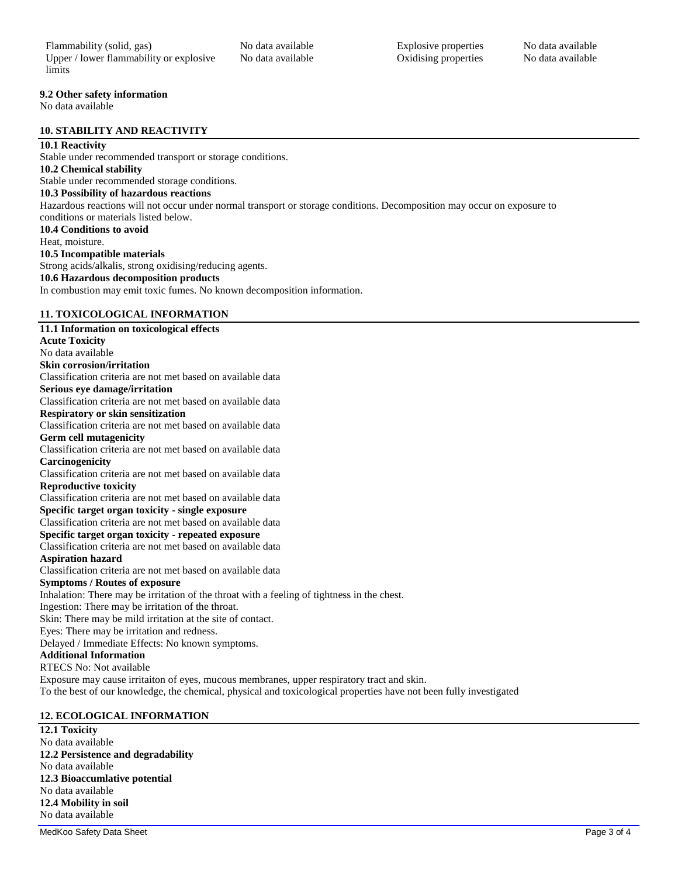#### **9.2 Other safety information**

No data available

#### **10. STABILITY AND REACTIVITY**

## **10.1 Reactivity**

Stable under recommended transport or storage conditions. **10.2 Chemical stability** Stable under recommended storage conditions. **10.3 Possibility of hazardous reactions** Hazardous reactions will not occur under normal transport or storage conditions. Decomposition may occur on exposure to conditions or materials listed below. **10.4 Conditions to avoid** Heat, moisture. **10.5 Incompatible materials** Strong acids/alkalis, strong oxidising/reducing agents. **10.6 Hazardous decomposition products** In combustion may emit toxic fumes. No known decomposition information. **11. TOXICOLOGICAL INFORMATION 11.1 Information on toxicological effects**

## **Acute Toxicity**

No data available **Skin corrosion/irritation** Classification criteria are not met based on available data **Serious eye damage/irritation** Classification criteria are not met based on available data **Respiratory or skin sensitization** Classification criteria are not met based on available data **Germ cell mutagenicity** Classification criteria are not met based on available data **Carcinogenicity** Classification criteria are not met based on available data **Reproductive toxicity** Classification criteria are not met based on available data **Specific target organ toxicity - single exposure** Classification criteria are not met based on available data **Specific target organ toxicity - repeated exposure** Classification criteria are not met based on available data **Aspiration hazard** Classification criteria are not met based on available data **Symptoms / Routes of exposure** Inhalation: There may be irritation of the throat with a feeling of tightness in the chest. Ingestion: There may be irritation of the throat. Skin: There may be mild irritation at the site of contact. Eyes: There may be irritation and redness. Delayed / Immediate Effects: No known symptoms. **Additional Information** RTECS No: Not available Exposure may cause irritaiton of eyes, mucous membranes, upper respiratory tract and skin. To the best of our knowledge, the chemical, physical and toxicological properties have not been fully investigated

## **12. ECOLOGICAL INFORMATION**

**12.1 Toxicity** No data available **12.2 Persistence and degradability** No data available **12.3 Bioaccumlative potential** No data available **12.4 Mobility in soil** No data available